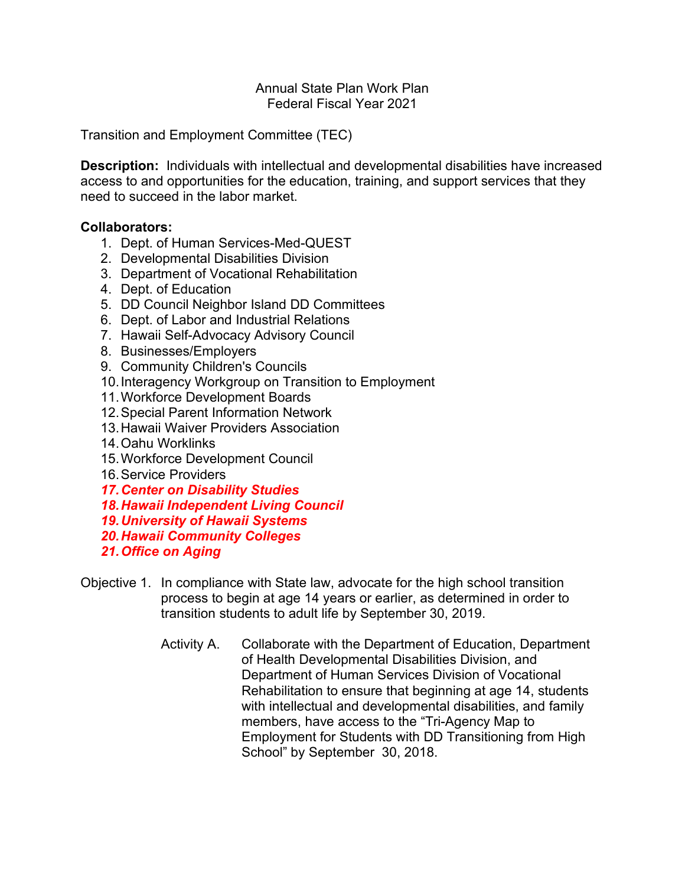## Annual State Plan Work Plan Federal Fiscal Year 2021

Transition and Employment Committee (TEC)

**Description:** Individuals with intellectual and developmental disabilities have increased access to and opportunities for the education, training, and support services that they need to succeed in the labor market.

## **Collaborators:**

- 1. Dept. of Human Services-Med-QUEST
- 2. Developmental Disabilities Division
- 3. Department of Vocational Rehabilitation
- 4. Dept. of Education
- 5. DD Council Neighbor Island DD Committees
- 6. Dept. of Labor and Industrial Relations
- 7. Hawaii Self-Advocacy Advisory Council
- 8. Businesses/Employers
- 9. Community Children's Councils
- 10.Interagency Workgroup on Transition to Employment
- 11.Workforce Development Boards
- 12.Special Parent Information Network
- 13.Hawaii Waiver Providers Association
- 14.Oahu Worklinks
- 15.Workforce Development Council
- 16.Service Providers
- *17.Center on Disability Studies*
- *18.Hawaii Independent Living Council*
- *19.University of Hawaii Systems*
- *20.Hawaii Community Colleges*
- *21.Office on Aging*
- Objective 1. In compliance with State law, advocate for the high school transition process to begin at age 14 years or earlier, as determined in order to transition students to adult life by September 30, 2019.
	- Activity A. Collaborate with the Department of Education, Department of Health Developmental Disabilities Division, and Department of Human Services Division of Vocational Rehabilitation to ensure that beginning at age 14, students with intellectual and developmental disabilities, and family members, have access to the "Tri-Agency Map to Employment for Students with DD Transitioning from High School" by September 30, 2018.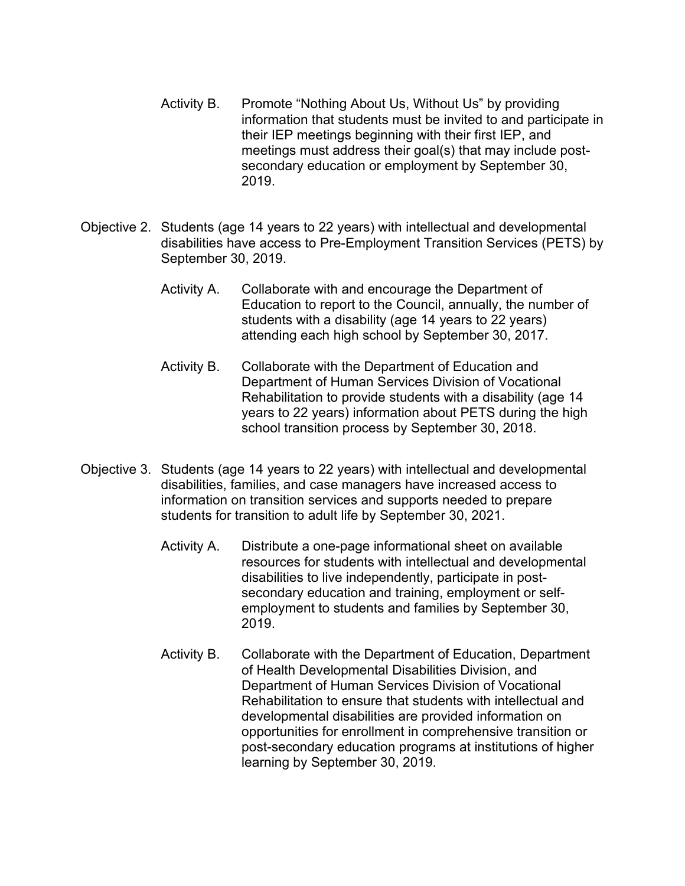- Activity B. Promote "Nothing About Us, Without Us" by providing information that students must be invited to and participate in their IEP meetings beginning with their first IEP, and meetings must address their goal(s) that may include postsecondary education or employment by September 30, 2019.
- Objective 2. Students (age 14 years to 22 years) with intellectual and developmental disabilities have access to Pre-Employment Transition Services (PETS) by September 30, 2019.
	- Activity A. Collaborate with and encourage the Department of Education to report to the Council, annually, the number of students with a disability (age 14 years to 22 years) attending each high school by September 30, 2017.
	- Activity B. Collaborate with the Department of Education and Department of Human Services Division of Vocational Rehabilitation to provide students with a disability (age 14 years to 22 years) information about PETS during the high school transition process by September 30, 2018.
- Objective 3. Students (age 14 years to 22 years) with intellectual and developmental disabilities, families, and case managers have increased access to information on transition services and supports needed to prepare students for transition to adult life by September 30, 2021.
	- Activity A. Distribute a one-page informational sheet on available resources for students with intellectual and developmental disabilities to live independently, participate in postsecondary education and training, employment or selfemployment to students and families by September 30, 2019.
	- Activity B. Collaborate with the Department of Education, Department of Health Developmental Disabilities Division, and Department of Human Services Division of Vocational Rehabilitation to ensure that students with intellectual and developmental disabilities are provided information on opportunities for enrollment in comprehensive transition or post-secondary education programs at institutions of higher learning by September 30, 2019.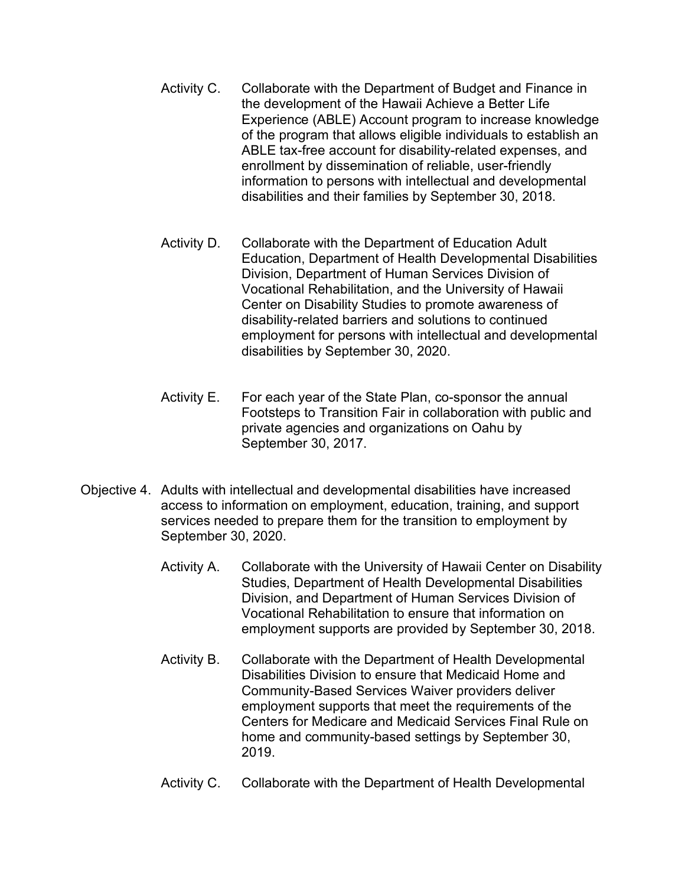- Activity C. Collaborate with the Department of Budget and Finance in the development of the Hawaii Achieve a Better Life Experience (ABLE) Account program to increase knowledge of the program that allows eligible individuals to establish an ABLE tax-free account for disability-related expenses, and enrollment by dissemination of reliable, user-friendly information to persons with intellectual and developmental disabilities and their families by September 30, 2018.
- Activity D. Collaborate with the Department of Education Adult Education, Department of Health Developmental Disabilities Division, Department of Human Services Division of Vocational Rehabilitation, and the University of Hawaii Center on Disability Studies to promote awareness of disability-related barriers and solutions to continued employment for persons with intellectual and developmental disabilities by September 30, 2020.
- Activity E. For each year of the State Plan, co-sponsor the annual Footsteps to Transition Fair in collaboration with public and private agencies and organizations on Oahu by September 30, 2017.
- Objective 4. Adults with intellectual and developmental disabilities have increased access to information on employment, education, training, and support services needed to prepare them for the transition to employment by September 30, 2020.
	- Activity A. Collaborate with the University of Hawaii Center on Disability Studies, Department of Health Developmental Disabilities Division, and Department of Human Services Division of Vocational Rehabilitation to ensure that information on employment supports are provided by September 30, 2018.
	- Activity B. Collaborate with the Department of Health Developmental Disabilities Division to ensure that Medicaid Home and Community-Based Services Waiver providers deliver employment supports that meet the requirements of the Centers for Medicare and Medicaid Services Final Rule on home and community-based settings by September 30, 2019.
	- Activity C. Collaborate with the Department of Health Developmental